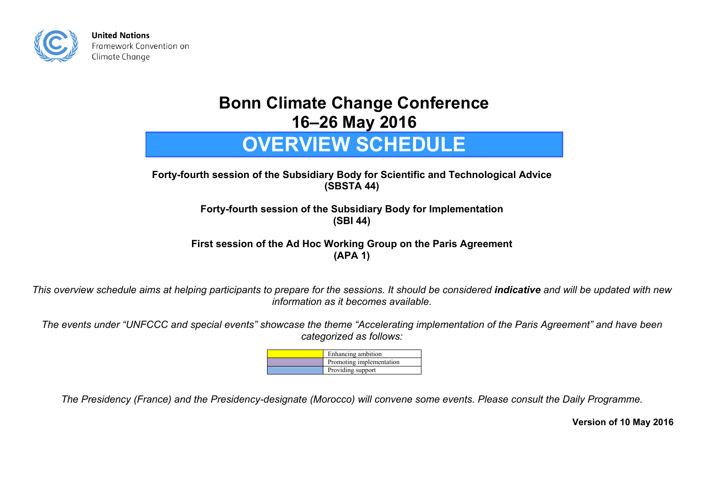

## **Bonn Climate Change Conference 16–26 May 2016**

## **OVERVIEW SCHEDULE**

**Forty-fourth session of the Subsidiary Body for Scientific and Technological Advice (SBSTA 44)** 

> **Forty-fourth session of the Subsidiary Body for Implementation (SBI 44)**

**First session of the Ad Hoc Working Group on the Paris Agreement (APA 1)** 

*This overview schedule aims at helping participants to prepare for the sessions. It should be considered indicative and will be updated with new information as it becomes available.* 

*The events under "UNFCCC and special events" showcase the theme "Accelerating implementation of the Paris Agreement" and have been categorized as follows:* 

| Enhancing ambition       |
|--------------------------|
| Promoting implementation |
| Providing support        |

*The Presidency (France) and the Presidency-designate (Morocco) will convene some events. Please consult the Daily Programme.* 

**Version of 10 May 2016**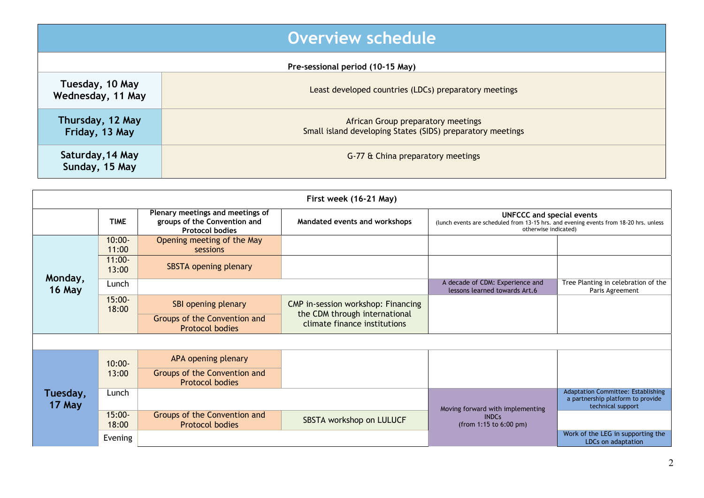|                                      | Overview schedule                                                                                |  |  |  |
|--------------------------------------|--------------------------------------------------------------------------------------------------|--|--|--|
| Pre-sessional period (10-15 May)     |                                                                                                  |  |  |  |
| Tuesday, 10 May<br>Wednesday, 11 May | Least developed countries (LDCs) preparatory meetings                                            |  |  |  |
| Thursday, 12 May<br>Friday, 13 May   | African Group preparatory meetings<br>Small island developing States (SIDS) preparatory meetings |  |  |  |
| Saturday, 14 May<br>Sunday, 15 May   | G-77 & China preparatory meetings                                                                |  |  |  |

| First week (16-21 May) |                    |                                                                                            |                                                               |                                                                                                                                                   |                                                                                                     |  |
|------------------------|--------------------|--------------------------------------------------------------------------------------------|---------------------------------------------------------------|---------------------------------------------------------------------------------------------------------------------------------------------------|-----------------------------------------------------------------------------------------------------|--|
|                        | <b>TIME</b>        | Plenary meetings and meetings of<br>groups of the Convention and<br><b>Protocol bodies</b> | Mandated events and workshops                                 | <b>UNFCCC and special events</b><br>(lunch events are scheduled from 13-15 hrs. and evening events from 18-20 hrs. unless<br>otherwise indicated) |                                                                                                     |  |
| Monday,<br>16 May      | $10:00 -$<br>11:00 | Opening meeting of the May<br>sessions                                                     |                                                               |                                                                                                                                                   |                                                                                                     |  |
|                        | $11:00 -$<br>13:00 | SBSTA opening plenary                                                                      |                                                               |                                                                                                                                                   |                                                                                                     |  |
|                        | Lunch              |                                                                                            |                                                               | A decade of CDM: Experience and<br>lessons learned towards Art.6                                                                                  | Tree Planting in celebration of the<br>Paris Agreement                                              |  |
|                        | $15:00 -$<br>18:00 | SBI opening plenary                                                                        | CMP in-session workshop: Financing                            |                                                                                                                                                   |                                                                                                     |  |
|                        |                    | Groups of the Convention and<br><b>Protocol bodies</b>                                     | the CDM through international<br>climate finance institutions |                                                                                                                                                   |                                                                                                     |  |
|                        |                    |                                                                                            |                                                               |                                                                                                                                                   |                                                                                                     |  |
| Tuesday,<br>17 May     | $10:00 -$          | APA opening plenary                                                                        |                                                               |                                                                                                                                                   |                                                                                                     |  |
|                        | 13:00              | Groups of the Convention and<br><b>Protocol bodies</b>                                     |                                                               |                                                                                                                                                   |                                                                                                     |  |
|                        | Lunch              |                                                                                            |                                                               | Moving forward with implementing                                                                                                                  | <b>Adaptation Committee: Establishing</b><br>a partnership platform to provide<br>technical support |  |
|                        | $15:00 -$<br>18:00 | Groups of the Convention and<br><b>Protocol bodies</b>                                     | SBSTA workshop on LULUCF                                      | <b>INDCs</b><br>(from 1:15 to 6:00 pm)                                                                                                            |                                                                                                     |  |
|                        | Evening            |                                                                                            |                                                               |                                                                                                                                                   | Work of the LEG in supporting the<br>LDCs on adaptation                                             |  |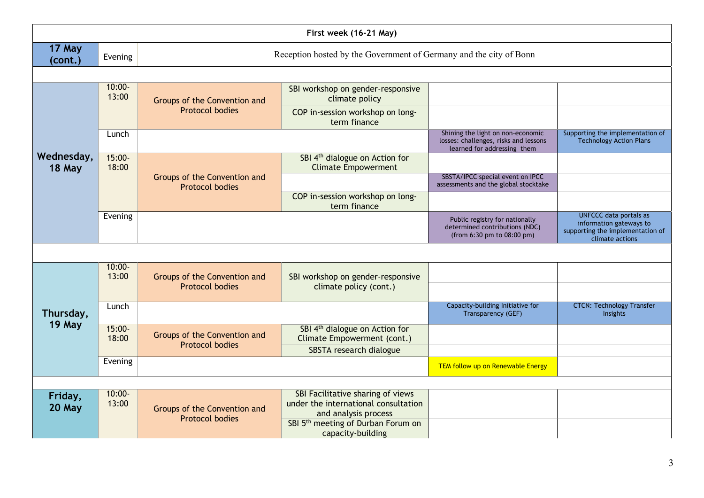| First week (16-21 May) |                        |                                                                    |                                                                                                   |                                                                                                           |                                                                                                                 |  |  |
|------------------------|------------------------|--------------------------------------------------------------------|---------------------------------------------------------------------------------------------------|-----------------------------------------------------------------------------------------------------------|-----------------------------------------------------------------------------------------------------------------|--|--|
| 17 May<br>(cont.)      | Evening                | Reception hosted by the Government of Germany and the city of Bonn |                                                                                                   |                                                                                                           |                                                                                                                 |  |  |
|                        |                        |                                                                    |                                                                                                   |                                                                                                           |                                                                                                                 |  |  |
|                        | $10:00 -$<br>13:00     | Groups of the Convention and                                       | SBI workshop on gender-responsive<br>climate policy                                               |                                                                                                           |                                                                                                                 |  |  |
|                        |                        | <b>Protocol bodies</b>                                             | COP in-session workshop on long-<br>term finance                                                  |                                                                                                           |                                                                                                                 |  |  |
|                        | Lunch                  |                                                                    |                                                                                                   | Shining the light on non-economic<br>losses: challenges, risks and lessons<br>learned for addressing them | Supporting the implementation of<br><b>Technology Action Plans</b>                                              |  |  |
| Wednesday,             | $15:00 -$<br>18:00     |                                                                    | SBI 4 <sup>th</sup> dialogue on Action for<br><b>Climate Empowerment</b>                          |                                                                                                           |                                                                                                                 |  |  |
| 18 May                 |                        | Groups of the Convention and<br><b>Protocol bodies</b>             |                                                                                                   | SBSTA/IPCC special event on IPCC<br>assessments and the global stocktake                                  |                                                                                                                 |  |  |
|                        |                        |                                                                    | COP in-session workshop on long-<br>term finance                                                  |                                                                                                           |                                                                                                                 |  |  |
|                        | Evening                |                                                                    |                                                                                                   | Public registry for nationally<br>determined contributions (NDC)<br>(from 6:30 pm to 08:00 pm)            | <b>UNFCCC</b> data portals as<br>information gateways to<br>supporting the implementation of<br>climate actions |  |  |
|                        |                        |                                                                    |                                                                                                   |                                                                                                           |                                                                                                                 |  |  |
| Thursday,<br>19 May    | $10:00 -$<br>13:00     | Groups of the Convention and<br><b>Protocol bodies</b>             | SBI workshop on gender-responsive                                                                 |                                                                                                           |                                                                                                                 |  |  |
|                        |                        |                                                                    | climate policy (cont.)                                                                            |                                                                                                           |                                                                                                                 |  |  |
|                        | Lunch                  |                                                                    |                                                                                                   | Capacity-building Initiative for<br>Transparency (GEF)                                                    | <b>CTCN: Technology Transfer</b><br>Insights                                                                    |  |  |
|                        | $15:00 -$<br>18:00     | Groups of the Convention and<br><b>Protocol bodies</b>             | SBI 4 <sup>th</sup> dialogue on Action for<br>Climate Empowerment (cont.)                         |                                                                                                           |                                                                                                                 |  |  |
|                        | Evening                |                                                                    | SBSTA research dialogue                                                                           |                                                                                                           |                                                                                                                 |  |  |
|                        |                        |                                                                    |                                                                                                   | TEM follow up on Renewable Energy                                                                         |                                                                                                                 |  |  |
|                        |                        |                                                                    |                                                                                                   |                                                                                                           |                                                                                                                 |  |  |
| Friday,<br>20 May      | $10:00 -$<br>13:00     | Groups of the Convention and                                       | SBI Facilitative sharing of views<br>under the international consultation<br>and analysis process |                                                                                                           |                                                                                                                 |  |  |
|                        | <b>Protocol bodies</b> |                                                                    | SBI 5 <sup>th</sup> meeting of Durban Forum on<br>capacity-building                               |                                                                                                           |                                                                                                                 |  |  |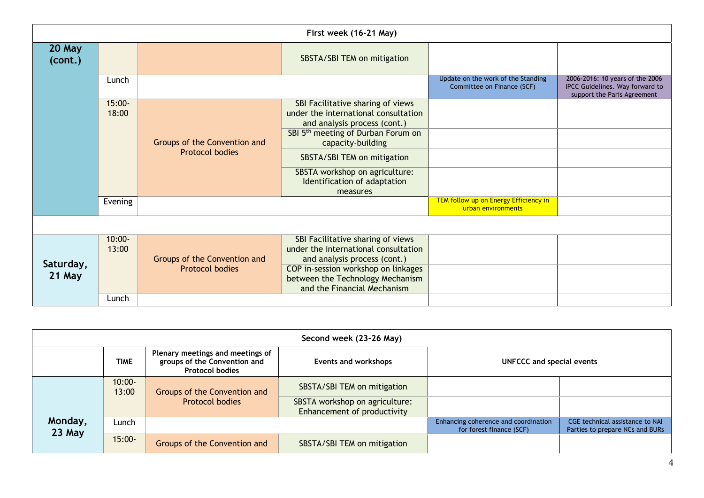| First week (16-21 May) |                    |                                                        |                                                                                                           |                                                                  |                                                                                                   |
|------------------------|--------------------|--------------------------------------------------------|-----------------------------------------------------------------------------------------------------------|------------------------------------------------------------------|---------------------------------------------------------------------------------------------------|
| 20 May<br>(cont.)      |                    |                                                        | SBSTA/SBI TEM on mitigation                                                                               |                                                                  |                                                                                                   |
|                        | Lunch              |                                                        |                                                                                                           | Update on the work of the Standing<br>Committee on Finance (SCF) | 2006-2016: 10 years of the 2006<br>IPCC Guidelines. Way forward to<br>support the Paris Agreement |
|                        | $15:00 -$<br>18:00 |                                                        | SBI Facilitative sharing of views<br>under the international consultation<br>and analysis process (cont.) |                                                                  |                                                                                                   |
|                        |                    | Groups of the Convention and<br><b>Protocol bodies</b> | SBI 5 <sup>th</sup> meeting of Durban Forum on<br>capacity-building                                       |                                                                  |                                                                                                   |
|                        |                    |                                                        | SBSTA/SBI TEM on mitigation                                                                               |                                                                  |                                                                                                   |
|                        |                    |                                                        | SBSTA workshop on agriculture:<br>Identification of adaptation<br>measures                                |                                                                  |                                                                                                   |
|                        | Evening            |                                                        |                                                                                                           | TEM follow up on Energy Efficiency in<br>urban environments      |                                                                                                   |
|                        |                    |                                                        |                                                                                                           |                                                                  |                                                                                                   |
|                        | $10:00 -$<br>13:00 | Groups of the Convention and                           | SBI Facilitative sharing of views<br>under the international consultation<br>and analysis process (cont.) |                                                                  |                                                                                                   |
| Saturday,<br>21 May    |                    | <b>Protocol bodies</b>                                 | COP in-session workshop on linkages<br>between the Technology Mechanism<br>and the Financial Mechanism    |                                                                  |                                                                                                   |
|                        | Lunch              |                                                        |                                                                                                           |                                                                  |                                                                                                   |

| Second week (23-26 May) |                    |                                                                                            |                                                               |                                                                  |                                                                    |  |
|-------------------------|--------------------|--------------------------------------------------------------------------------------------|---------------------------------------------------------------|------------------------------------------------------------------|--------------------------------------------------------------------|--|
|                         | <b>TIME</b>        | Plenary meetings and meetings of<br>groups of the Convention and<br><b>Protocol bodies</b> | Events and workshops                                          | UNFCCC and special events                                        |                                                                    |  |
| Monday,<br>23 May       | $10:00 -$<br>13:00 | Groups of the Convention and<br><b>Protocol bodies</b>                                     | SBSTA/SBI TEM on mitigation                                   |                                                                  |                                                                    |  |
|                         |                    |                                                                                            | SBSTA workshop on agriculture:<br>Enhancement of productivity |                                                                  |                                                                    |  |
|                         | Lunch              |                                                                                            |                                                               | Enhancing coherence and coordination<br>for forest finance (SCF) | CGE technical assistance to NAI<br>Parties to prepare NCs and BURs |  |
|                         | $15:00 -$          | Groups of the Convention and                                                               | SBSTA/SBI TEM on mitigation                                   |                                                                  |                                                                    |  |